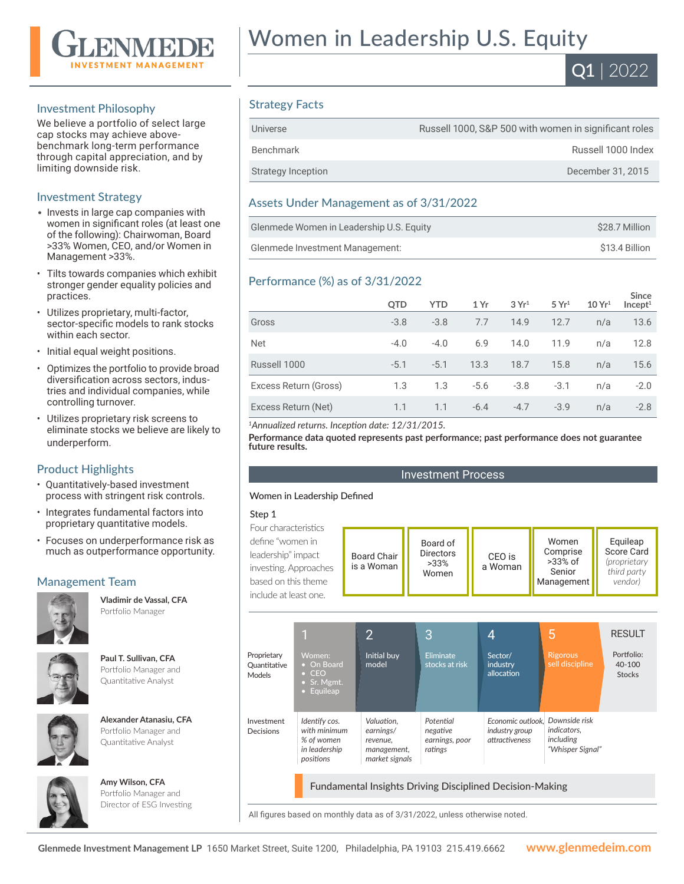

## Investment Philosophy

We believe a portfolio of select large cap stocks may achieve abovebenchmark long-term performance through capital appreciation, and by limiting downside risk.

## Investment Strategy

- Invests in large cap companies with women in significant roles (at least one of the following): Chairwoman, Board >33% Women, CEO, and/or Women in Management >33%.
- Tilts towards companies which exhibit stronger gender equality policies and practices.
- Utilizes proprietary, multi-factor, sector-specific models to rank stocks within each sector.
- Initial equal weight positions.
- Optimizes the portfolio to provide broad diversification across sectors, industries and individual companies, while controlling turnover.
- Utilizes proprietary risk screens to eliminate stocks we believe are likely to underperform.

## Product Highlights

- Quantitatively-based investment process with stringent risk controls.
- Integrates fundamental factors into proprietary quantitative models.
- Focuses on underperformance risk as much as outperformance opportunity.

## Management Team



**Vladimir de Vassal, CFA**  Portfolio Manager



**Paul T. Sullivan, CFA**  Portfolio Manager and Quantitative Analyst

| Alexander Atanasiu, CFA |
|-------------------------|
| Portfolio Manager and   |
| Quantitative Analyst    |

**Amy Wilson, CFA**  Portfolio Manager and Director of ESG Investing



Women in Leadership U.S. Equity



## Strategy Facts

| Universe           | Russell 1000, S&P 500 with women in significant roles |
|--------------------|-------------------------------------------------------|
| Benchmark          | Russell 1000 Index                                    |
| Strategy Inception | December 31, 2015                                     |

## Assets Under Management as of 3/31/2022

| Glenmede Women in Leadership U.S. Equity | \$28.7 Million |
|------------------------------------------|----------------|
| Glenmede Investment Management:          | \$13.4 Billion |

## Performance (%) as of 3/31/2022

|                       | QTD    | <b>YTD</b> | 1 Yr   | 3 Yr <sup>1</sup> | 5 Yr <sup>1</sup> | 10 Yr <sup>1</sup> | Since<br>Incept <sup>1</sup> |
|-----------------------|--------|------------|--------|-------------------|-------------------|--------------------|------------------------------|
| Gross                 | $-3.8$ | $-3.8$     | 7.7    | 14.9              | 12.7              | n/a                | 13.6                         |
| <b>Net</b>            | $-4.0$ | $-4.0$     | 6.9    | 14.0              | 11.9              | n/a                | 12.8                         |
| Russell 1000          | $-5.1$ | $-5.1$     | 13.3   | 18.7              | 15.8              | n/a                | 15.6                         |
| Excess Return (Gross) | 1.3    | 1.3        | $-5.6$ | $-3.8$            | $-3.1$            | n/a                | $-2.0$                       |
| Excess Return (Net)   | 1.1    | 1.1        | $-6.4$ | $-4.7$            | $-3.9$            | n/a                | $-2.8$                       |

*<sup>1</sup>Annualized returns. Inception date: 12/31/2015.*

**Performance data quoted represents past performance; past performance does not guarantee future results.**

#### Investment Process

#### Women in Leadership Defined

#### Step 1

| Four characteristics  |                    |                  |         |                      |                                    |
|-----------------------|--------------------|------------------|---------|----------------------|------------------------------------|
| define "women in      | <b>Board Chair</b> | Board of         | CEO is  | Women                | Equileap                           |
| leadership" impact    |                    | <b>Directors</b> |         | Comprise             | Score Card                         |
| investing. Approaches | is a Woman         | $>33\%$<br>Women | a Woman | $>33\%$ of<br>Senior | <i>(proprietary</i><br>third party |
| based on this theme   |                    |                  |         | Management           | vendor)                            |
| include at least one. |                    |                  |         |                      |                                    |

|                                       | 1                                                                         | $\overline{2}$                                                       | 3                                                  | 4                                                                          | 5                                                          | <b>RESULT</b>                         |
|---------------------------------------|---------------------------------------------------------------------------|----------------------------------------------------------------------|----------------------------------------------------|----------------------------------------------------------------------------|------------------------------------------------------------|---------------------------------------|
| Proprietary<br>Quantitative<br>Models | Women:<br>• On Board<br>$\bullet$ CEO<br>• Sr. Mgmt.<br>Equileap<br>o     | Initial buy<br>model <sup>'</sup>                                    | <b>Eliminate</b><br>stocks at risk                 | Sector/<br>industry<br>allocation                                          | <b>Rigorous</b><br>sell discipline                         | Portfolio:<br>40-100<br><b>Stocks</b> |
| Investment<br>Decisions               | Identify cos.<br>with minimum<br>% of women<br>in leadership<br>positions | Valuation.<br>earnings/<br>revenue.<br>management,<br>market signals | Potential<br>negative<br>earnings, poor<br>ratings | Economic outlook. Downside risk<br>industry group<br><i>attractiveness</i> | <i>indicators.</i><br><i>including</i><br>"Whisper Signal" |                                       |
|                                       |                                                                           |                                                                      |                                                    | <b>Fundamental Insights Driving Disciplined Decision-Making</b>            |                                                            |                                       |

All figures based on monthly data as of 3/31/2022, unless otherwise noted.